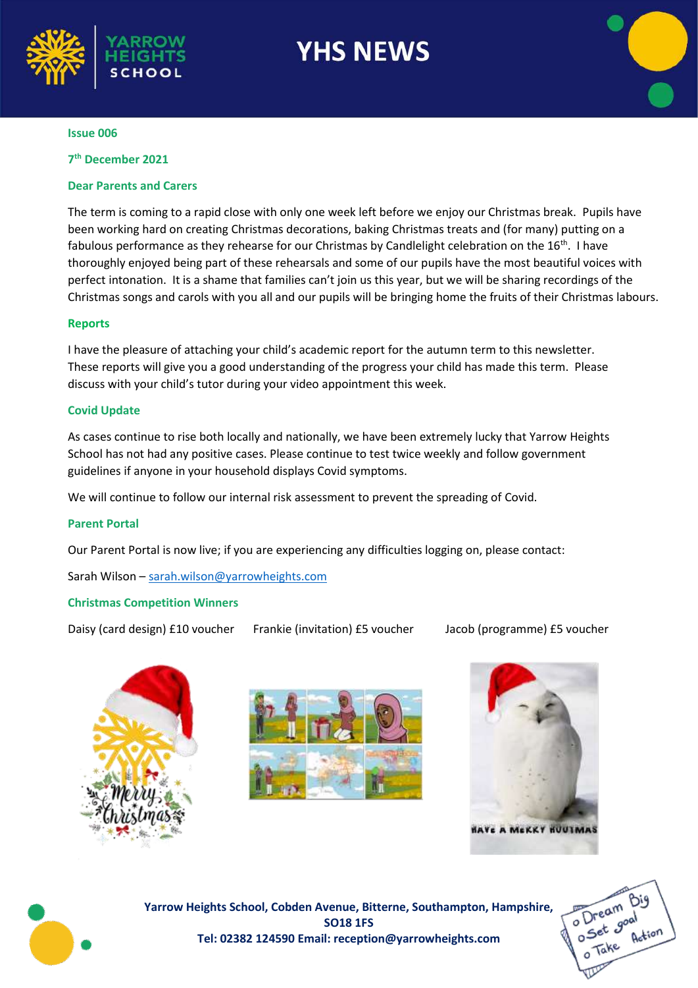

# **YHS NEWS**

#### **Issue 006**

**7 th December 2021**

# **Dear Parents and Carers**

The term is coming to a rapid close with only one week left before we enjoy our Christmas break. Pupils have been working hard on creating Christmas decorations, baking Christmas treats and (for many) putting on a fabulous performance as they rehearse for our Christmas by Candlelight celebration on the 16<sup>th</sup>. I have thoroughly enjoyed being part of these rehearsals and some of our pupils have the most beautiful voices with perfect intonation. It is a shame that families can't join us this year, but we will be sharing recordings of the Christmas songs and carols with you all and our pupils will be bringing home the fruits of their Christmas labours.

#### **Reports**

I have the pleasure of attaching your child's academic report for the autumn term to this newsletter. These reports will give you a good understanding of the progress your child has made this term. Please discuss with your child's tutor during your video appointment this week.

### **Covid Update**

As cases continue to rise both locally and nationally, we have been extremely lucky that Yarrow Heights School has not had any positive cases. Please continue to test twice weekly and follow government guidelines if anyone in your household displays Covid symptoms.

We will continue to follow our internal risk assessment to prevent the spreading of Covid.

#### **Parent Portal**

Our Parent Portal is now live; if you are experiencing any difficulties logging on, please contact:

Sarah Wilson – [sarah.wilson@yarrowheights.com](mailto:sarah.wilson@yarrowheights.com)

# **Christmas Competition Winners**

Daisy (card design) £10 voucher Frankie (invitation) £5 voucher Jacob (programme) £5 voucher









**Yarrow Heights School, Cobden Avenue, Bitterne, Southampton, Hampshire, SO18 1FS Tel: 02382 124590 Email: reception@yarrowheights.com**